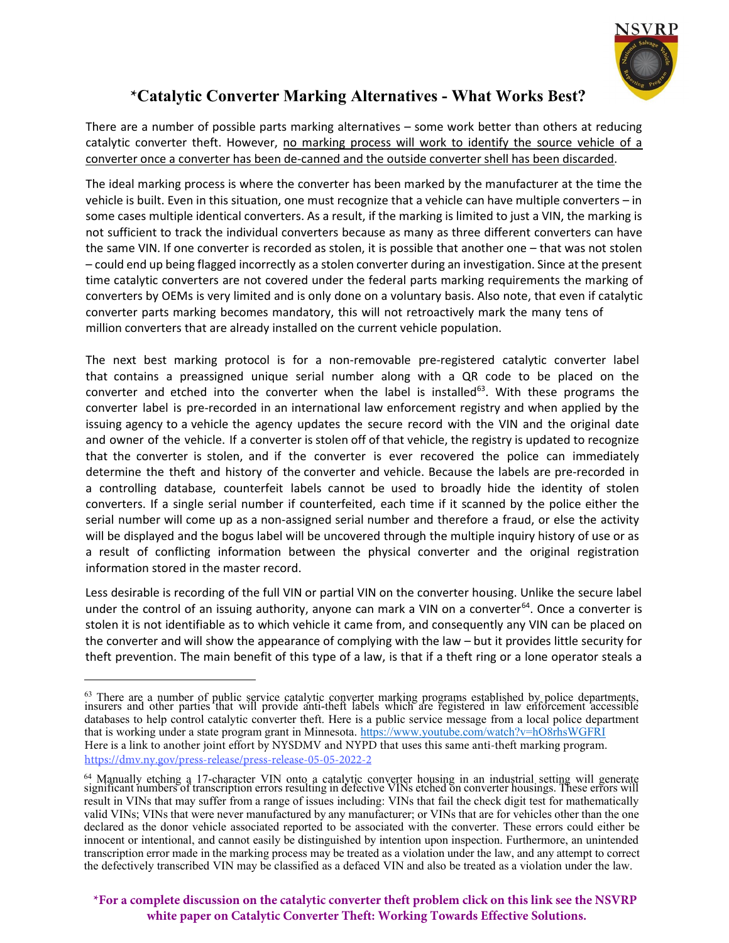

## **\***Catalytic Converter Marking Alternatives - What **W**orks **B**est?

There are a number of possible parts marking alternatives – some work better than others at reducing catalytic converter theft. However, no marking process will work to identify the source vehicle of a converter once a converter has been de-canned and the outside converter shell has been discarded.

The ideal marking process is where the converter has been marked by the manufacturer at the time the vehicle is built. Even in this situation, one must recognize that a vehicle can have multiple converters – in some cases multiple identical converters. As a result, if the marking is limited to just a VIN, the marking is not sufficient to track the individual converters because as many as three different converters can have the same VIN. If one converter is recorded as stolen, it is possible that another one – that was not stolen – could end up being flagged incorrectly as a stolen converter during an investigation. Since at the present time catalytic converters are not covered under the federal parts marking requirements the marking of converters by OEMs is very limited and is only done on a voluntary basis. Also note, that even if catalytic converter parts marking becomes mandatory, this will not retroactively mark the many tens of million converters that are already installed on the current vehicle population.

The next best marking protocol is for a non-removable pre-registered catalytic converter label that contains a preassigned unique serial number along with a QR code to be placed on the converter and etched into the converter when the label is installed $^{63}$ . With these programs the converter label is pre-recorded in an international law enforcement registry and when applied by the issuing agency to a vehicle the agency updates the secure record with the VIN and the original date and owner of the vehicle. If a converter is stolen off of that vehicle, the registry is updated to recognize that the converter is stolen, and if the converter is ever recovered the police can immediately determine the theft and history of the converter and vehicle. Because the labels are pre-recorded in a controlling database, counterfeit labels cannot be used to broadly hide the identity of stolen converters. If a single serial number if counterfeited, each time if it scanned by the police either the serial number will come up as a non-assigned serial number and therefore a fraud, or else the activity will be displayed and the bogus label will be uncovered through the multiple inquiry history of use or as a result of conflicting information between the physical converter and the original registration information stored in the master record.

Less desirable is recording of the full VIN or partial VIN on the converter housing. Unlike the secure label under the control of an issuing authority, anyone can mark a VIN on a converter<sup>64</sup>. Once a converter is stolen it is not identifiable as to which vehicle it came from, and consequently any VIN can be placed on the converter and will show the appearance of complying with the law – but it provides little security for theft prevention. The main benefit of this type of a law, is that if a theft ring or a lone operator steals a

**[\\*For a complete discussion on the catalytic converter theft problem click on this link see the NSVRP](https://files.secureserver.net/0s0VuRJlkBVotZ) white paper on Catalytic Converter Theft: Working Towards Effective Solutions.** 

 $63$  There are a number of public service catalytic converter marking programs established by police departments, insurers and other parties that will provide anti-theft labels which are registered in law enforcement acce databases to help control catalytic converter theft. Here is a public service message from a local police department that is working under a state program grant in Minnesota.<https://www.youtube.com/watch?v=hO8rhsWGFRI> Here is a link to another joint effort by NYSDMV and NYPD that uses this same anti-theft marking program. <https://dmv.ny.gov/press-release/press-release-05-05-2022-2>

<sup>&</sup>lt;sup>64</sup> Manually etching a 17-character VIN onto a catalytic converter housing in an industrial setting will generate significant numbers of transcription errors resulting in defective VINs etched on converter housings. These result in VINs that may suffer from a range of issues including: VINs that fail the check digit test for mathematically valid VINs; VINs that were never manufactured by any manufacturer; or VINs that are for vehicles other than the one declared as the donor vehicle associated reported to be associated with the converter. These errors could either be innocent or intentional, and cannot easily be distinguished by intention upon inspection. Furthermore, an unintended transcription error made in the marking process may be treated as a violation under the law, and any attempt to correct the defectively transcribed VIN may be classified as a defaced VIN and also be treated as a violation under the law.